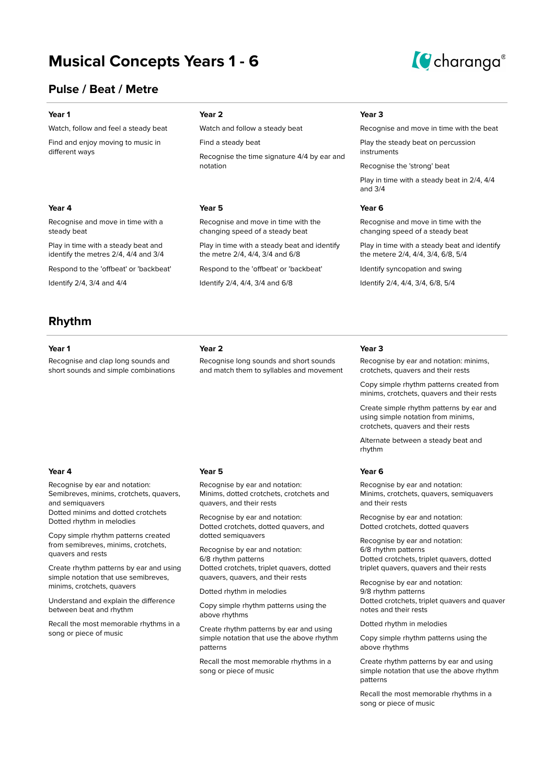# **Musical Concepts Years 1 - 6**



## **Pulse / Beat / Metre**

Watch, follow and feel a steady beat

Find and enjoy moving to music in different ways

### **Year 4 Year 5 Year 6**

Recognise and move in time with a steady beat

Play in time with a steady beat and identify the metres 2/4, 4/4 and 3/4

Respond to the 'offbeat' or 'backbeat'

Identify 2/4, 3/4 and 4/4

# **Rhythm**

Recognise and clap long sounds and short sounds and simple combinations

## **Year 1 Year 2 Year 3**

Watch and follow a steady beat

Find a steady beat

Recognise the time signature 4/4 by ear and notation

Recognise and move in time with the changing speed of a steady beat

Play in time with a steady beat and identify the metre 2/4, 4/4, 3/4 and 6/8

Recognise long sounds and short sounds and match them to syllables and movement

Respond to the 'offbeat' or 'backbeat'

Identify 2/4, 4/4, 3/4 and 6/8

Recognise and move in time with the beat

Play the steady beat on percussion instruments

Recognise the 'strong' beat

Play in time with a steady beat in 2/4, 4/4 and 3/4

Recognise and move in time with the changing speed of a steady beat

Play in time with a steady beat and identify the metere 2/4, 4/4, 3/4, 6/8, 5/4

Identify syncopation and swing

Identify 2/4, 4/4, 3/4, 6/8, 5/4

### **Year 1 Year 2 Year 3**

Recognise by ear and notation: minims, crotchets, quavers and their rests

Copy simple rhythm patterns created from minims, crotchets, quavers and their rests

Create simple rhythm patterns by ear and using simple notation from minims, crotchets, quavers and their rests

Alternate between a steady beat and rhythm

Recognise by ear and notation: Minims, crotchets, quavers, semiquavers and their rests

Recognise by ear and notation: Dotted crotchets, dotted quavers

Recognise by ear and notation: 6/8 rhythm patterns Dotted crotchets, triplet quavers, dotted triplet quavers, quavers and their rests

Recognise by ear and notation: 9/8 rhythm patterns Dotted crotchets, triplet quavers and quaver notes and their rests

Dotted rhythm in melodies

Copy simple rhythm patterns using the above rhythms

Create rhythm patterns by ear and using simple notation that use the above rhythm patterns

Recall the most memorable rhythms in a song or piece of music

## **Year 4 Year 5 Year 6**

Recognise by ear and notation: Semibreves, minims, crotchets, quavers, and semiquavers

Dotted minims and dotted crotchets Dotted rhythm in melodies

Copy simple rhythm patterns created from semibreves, minims, crotchets, quavers and rests

Create rhythm patterns by ear and using simple notation that use semibreves, minims, crotchets, quavers

Understand and explain the difference between beat and rhythm

Recall the most memorable rhythms in a song or piece of music

Recognise by ear and notation: Minims, dotted crotchets, crotchets and quavers, and their rests

Recognise by ear and notation: Dotted crotchets, dotted quavers, and dotted semiquavers

Recognise by ear and notation: 6/8 rhythm patterns Dotted crotchets, triplet quavers, dotted quavers, quavers, and their rests

Dotted rhythm in melodies

Copy simple rhythm patterns using the above rhythms

Create rhythm patterns by ear and using simple notation that use the above rhythm patterns

Recall the most memorable rhythms in a song or piece of music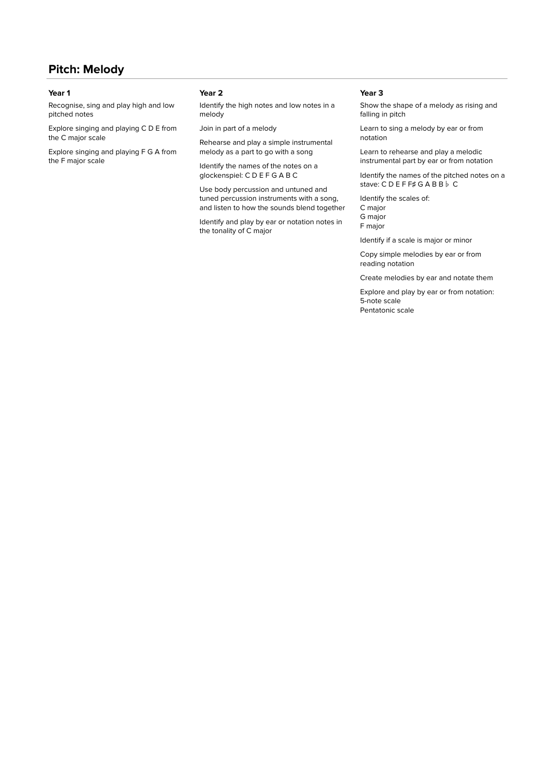## **Pitch: Melody**

Recognise, sing and play high and low pitched notes

Explore singing and playing C D E from the C major scale

Explore singing and playing F G A from the F major scale

Identify the high notes and low notes in a melody

Join in part of a melody

Rehearse and play a simple instrumental melody as a part to go with a song

Identify the names of the notes on a glockenspiel: C D E F G A B C

Use body percussion and untuned and tuned percussion instruments with a song, and listen to how the sounds blend together

Identify and play by ear or notation notes in the tonality of C major

### **Year 1 Year 2 Year 3**

Show the shape of a melody as rising and falling in pitch

Learn to sing a melody by ear or from notation

Learn to rehearse and play a melodic instrumental part by ear or from notation

Identify the names of the pitched notes on a stave: C D E F F♯ G A B B♭ C

Identify the scales of: C major G major F major

Identify if a scale is major or minor

Copy simple melodies by ear or from reading notation

Create melodies by ear and notate them

Explore and play by ear or from notation: 5-note scale Pentatonic scale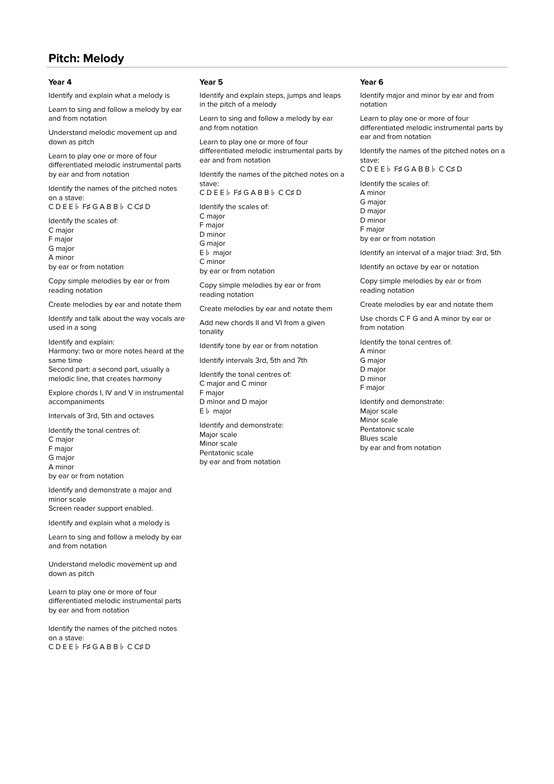## **Pitch: Melody**

Identify and explain what a melody is

Learn to sing and follow a melody by ear and from notation

Understand melodic movement up and down as pitch

Learn to play one or more of four differentiated melodic instrumental parts by ear and from notation

Identify the names of the pitched notes on a stave:

C D E E♭ F♯ G A B B♭ C C♯ D

- Identify the scales of: C major
- F major
- G major

A minor

by ear or from notation

Copy simple melodies by ear or from reading notation

Create melodies by ear and notate them

Identify and talk about the way vocals are used in a song

Identify and explain: Harmony: two or more notes heard at the

same time Second part: a second part, usually a melodic line, that creates harmony

Explore chords I, IV and V in instrumental accompaniments

Intervals of 3rd, 5th and octaves

Identify the tonal centres of: C major F major G major A minor by ear or from notation

Identify and demonstrate a major and minor scale Screen reader support enabled.

Identify and explain what a melody is

Learn to sing and follow a melody by ear and from notation

Understand melodic movement up and down as pitch

Learn to play one or more of four differentiated melodic instrumental parts by ear and from notation

Identify the names of the pitched notes on a stave: C D E E♭ F♯ G A B B♭ C C♯ D

## **Year 4 Year 5 Year 6**

Identify and explain steps, jumps and leaps in the pitch of a melody

Learn to sing and follow a melody by ear and from notation

Learn to play one or more of four differentiated melodic instrumental parts by ear and from notation

Identify the names of the pitched notes on a stave:

C D E E♭ F♯ G A B B♭ C C♯ D

Identify the scales of: C major F major D minor G major E♭ major C minor by ear or from notation

Copy simple melodies by ear or from reading notation

Create melodies by ear and notate them

Add new chords II and VI from a given tonality

Identify tone by ear or from notation

Identify intervals 3rd, 5th and 7th

Identify the tonal centres of: C major and C minor F major D minor and D major E♭ major

Identify and demonstrate: Major scale Minor scale Pentatonic scale by ear and from notation

Identify major and minor by ear and from notation

Learn to play one or more of four differentiated melodic instrumental parts by ear and from notation

Identify the names of the pitched notes on a stave: C D E E♭ F♯ G A B B♭ C C♯ D

Identify the scales of: A minor G major D major D minor F major by ear or from notation

Identify an interval of a major triad: 3rd, 5th

Identify an octave by ear or notation

Copy simple melodies by ear or from reading notation

Create melodies by ear and notate them

Use chords C F G and A minor by ear or from notation

Identify the tonal centres of: A minor G major

D major D minor F major

Identify and demonstrate: Major scale Minor scale Pentatonic scale Blues scale by ear and from notation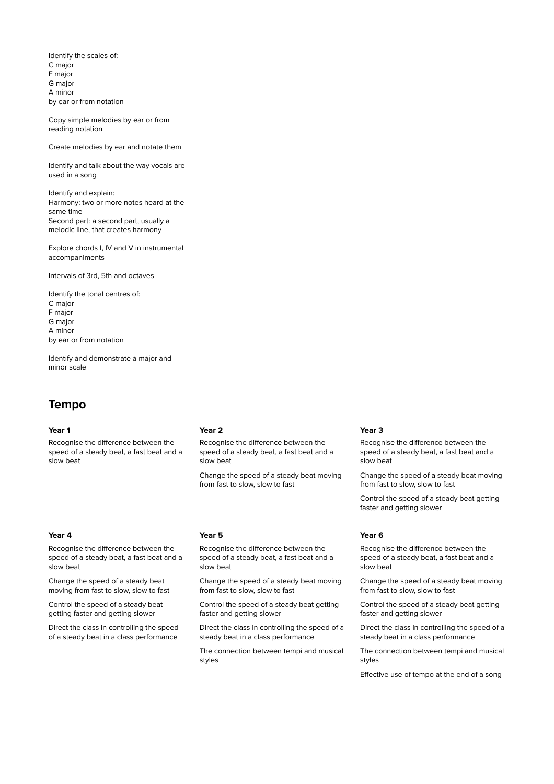Identify the scales of: C major F major G major A minor by ear or from notation

Copy simple melodies by ear or from reading notation

Create melodies by ear and notate them

Identify and talk about the way vocals are used in a song

Identify and explain: Harmony: two or more notes heard at the same time Second part: a second part, usually a melodic line, that creates harmony

Explore chords I, IV and V in instrumental accompaniments

Intervals of 3rd, 5th and octaves

Identify the tonal centres of: C major F major G major A minor by ear or from notation

Identify and demonstrate a major and minor scale Turn on screen reader support

## **Tempo**

Recognise the difference between the speed of a steady beat, a fast beat and a slow beat

Recognise the difference between the speed of a steady beat, a fast beat and a slow beat

Change the speed of a steady beat moving from fast to slow, slow to fast

Control the speed of a steady beat getting faster and getting slower

Direct the class in controlling the speed of a steady beat in a class performance

## **Year 1 Year 2 Year 3**

Recognise the difference between the speed of a steady beat, a fast beat and a slow beat

Change the speed of a steady beat moving from fast to slow, slow to fast

Recognise the difference between the speed of a steady beat, a fast beat and a slow beat

Change the speed of a steady beat moving from fast to slow, slow to fast

Control the speed of a steady beat getting faster and getting slower

Direct the class in controlling the speed of a steady beat in a class performance

The connection between tempi and musical styles

Recognise the difference between the speed of a steady beat, a fast beat and a slow beat

Change the speed of a steady beat moving from fast to slow, slow to fast

Control the speed of a steady beat getting faster and getting slower

### **Year 4 Year 5 Year 6**

Recognise the difference between the speed of a steady beat, a fast beat and a slow beat

Change the speed of a steady beat moving from fast to slow, slow to fast

Control the speed of a steady beat getting faster and getting slower

Direct the class in controlling the speed of a steady beat in a class performance

The connection between tempi and musical styles

Effective use of tempo at the end of a song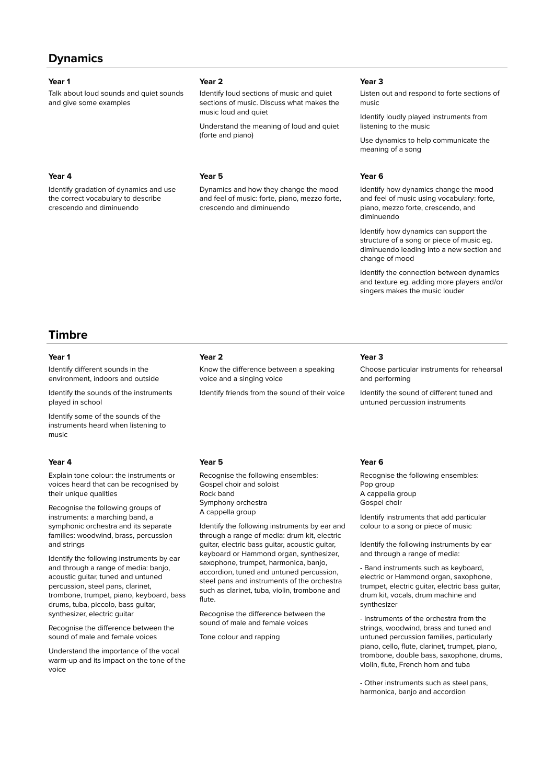## **Dynamics**

Talk about loud sounds and quiet sounds and give some examples

Identify gradation of dynamics and use the correct vocabulary to describe crescendo and diminuendo

## **Year 1 Year 2 Year 3**

Identify loud sections of music and quiet sections of music. Discuss what makes the music loud and quiet

Understand the meaning of loud and quiet (forte and piano)

### **Year 4 Year 5 Year 6**

Dynamics and how they change the mood and feel of music: forte, piano, mezzo forte, crescendo and diminuendo

Listen out and respond to forte sections of music

Identify loudly played instruments from listening to the music

Use dynamics to help communicate the meaning of a song

Identify how dynamics change the mood and feel of music using vocabulary: forte, piano, mezzo forte, crescendo, and diminuendo

Identify how dynamics can support the structure of a song or piece of music eg. diminuendo leading into a new section and change of mood

Identify the connection between dynamics and texture eg. adding more players and/or singers makes the music louder

## **Timbre**

Identify different sounds in the environment, indoors and outside

Identify the sounds of the instruments played in school

Identify some of the sounds of the instruments heard when listening to music

Explain tone colour: the instruments or voices heard that can be recognised by their unique qualities

Recognise the following groups of instruments: a marching band, a symphonic orchestra and its separate families: woodwind, brass, percussion and strings

Identify the following instruments by ear and through a range of media: banjo, acoustic guitar, tuned and untuned percussion, steel pans, clarinet, trombone, trumpet, piano, keyboard, bass drums, tuba, piccolo, bass guitar, synthesizer, electric guitar

Recognise the difference between the sound of male and female voices

Understand the importance of the vocal warm-up and its impact on the tone of the voice

## **Year 1 Year 2 Year 3**

Know the difference between a speaking voice and a singing voice

Identify friends from the sound of their voice

Choose particular instruments for rehearsal and performing

Identify the sound of different tuned and untuned percussion instruments

Recognise the following ensembles: Gospel choir and soloist Rock band Symphony orchestra A cappella group

Identify the following instruments by ear and through a range of media: drum kit, electric guitar, electric bass guitar, acoustic guitar, keyboard or Hammond organ, synthesizer, saxophone, trumpet, harmonica, banjo, accordion, tuned and untuned percussion, steel pans and instruments of the orchestra such as clarinet, tuba, violin, trombone and flute.

Recognise the difference between the sound of male and female voices

Tone colour and rapping

### **Year 4 Year 5 Year 6**

Recognise the following ensembles: Pop group A cappella group Gospel choir

Identify instruments that add particular colour to a song or piece of music

Identify the following instruments by ear and through a range of media:

- Band instruments such as keyboard, electric or Hammond organ, saxophone, trumpet, electric guitar, electric bass guitar, drum kit, vocals, drum machine and synthesizer

- Instruments of the orchestra from the strings, woodwind, brass and tuned and untuned percussion families, particularly piano, cello, flute, clarinet, trumpet, piano, trombone, double bass, saxophone, drums, violin, flute, French horn and tuba

- Other instruments such as steel pans, harmonica, banjo and accordion